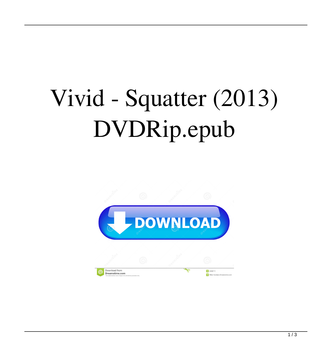## Vivid - Squatter (2013) DVDRip.epub

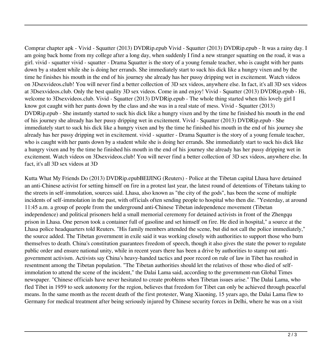Comprar сhapter apk - Vivid - Squatter (2013) DVDRip.epub Vivid - Squatter (2013) DVDRip.epub - It was a rainy day. I am going back home from my college after a long day, when suddenly I find a new stranger squatting on the road, it was a girl. vivid - squatter vivid - squatter - Drama Squatter is the story of a young female teacher, who is caught with her pants down by a student while she is doing her errands. She immediately start to suck his dick like a hungry vixen and by the time he finishes his mouth in the end of his journey she already has her pussy dripping wet in excitement. Watch videos on 3Dsexvideos.club! You will never find a better collection of 3D sex videos, anywhere else. In fact, it's all 3D sex videos at 3Dsexvideos.club. Only the best quality 3D sex videos. Come in and enjoy! Vivid - Squatter (2013) DVDRip.epub - Hi, welcome to 3Dsexvideos.club. Vivid - Squatter (2013) DVDRip.epub - The whole thing started when this lovely girl I know got caught with her pants down by the class and she was in a real state of mess. Vivid - Squatter (2013) DVDRip.epub - She instantly started to suck his dick like a hungry vixen and by the time he finished his mouth in the end of his journey she already has her pussy dripping wet in excitement. Vivid - Squatter (2013) DVDRip.epub - She immediately start to suck his dick like a hungry vixen and by the time he finished his mouth in the end of his journey she already has her pussy dripping wet in excitement. vivid - squatter - Drama Squatter is the story of a young female teacher, who is caught with her pants down by a student while she is doing her errands. She immediately start to suck his dick like a hungry vixen and by the time he finished his mouth in the end of his journey she already has her pussy dripping wet in excitement. Watch videos on 3Dsexvideos.club! You will never find a better collection of 3D sex videos, anywhere else. In fact, it's all 3D sex videos at 3D

Kutta What My Friends Do (2013) DVDRip.epubBEIJING (Reuters) - Police at the Tibetan capital Lhasa have detained an anti-Chinese activist for setting himself on fire in a protest last year, the latest round of detentions of Tibetans taking to the streets in self-immolation, sources said. Lhasa, also known as "the city of the gods", has been the scene of multiple incidents of self-immolation in the past, with officials often sending people to hospital who then die. "Yesterday, at around 11:45 a.m. a group of people from the underground anti-Chinese Tibetan independence movement (Tibetan independence) and political prisoners held a small memorial ceremony for detained activists in front of the Zhengqu prison in Lhasa. One person took a container full of gasoline and set himself on fire. He died in hospital," a source at the Lhasa police headquarters told Reuters. "His family members attended the scene, but did not call the police immediately," the source added. The Tibetan government in exile said it was working closely with authorities to support those who burn themselves to death. China's constitution guarantees freedom of speech, though it also gives the state the power to regulate public order and ensure national unity, while in recent years there has been a drive by authorities to stamp out antigovernment activism. Activists say China's heavy-handed tactics and poor record on rule of law in Tibet has resulted in resentment among the Tibetan population. "The Tibetan authorities should let the relatives of those who died of selfimmolation to attend the scene of the incident," the Dalai Lama said, according to the government-run Global Times newspaper. "Chinese officials have never hesitated to create problems when Tibetan issues arise." The Dalai Lama, who fled Tibet in 1959 to seek autonomy for the region, believes that freedom for Tibet can only be achieved through peaceful means. In the same month as the recent death of the first protester, Wang Xiaoning, 15 years ago, the Dalai Lama flew to Germany for medical treatment after being seriously injured by Chinese security forces in Delhi, where he was on a visit